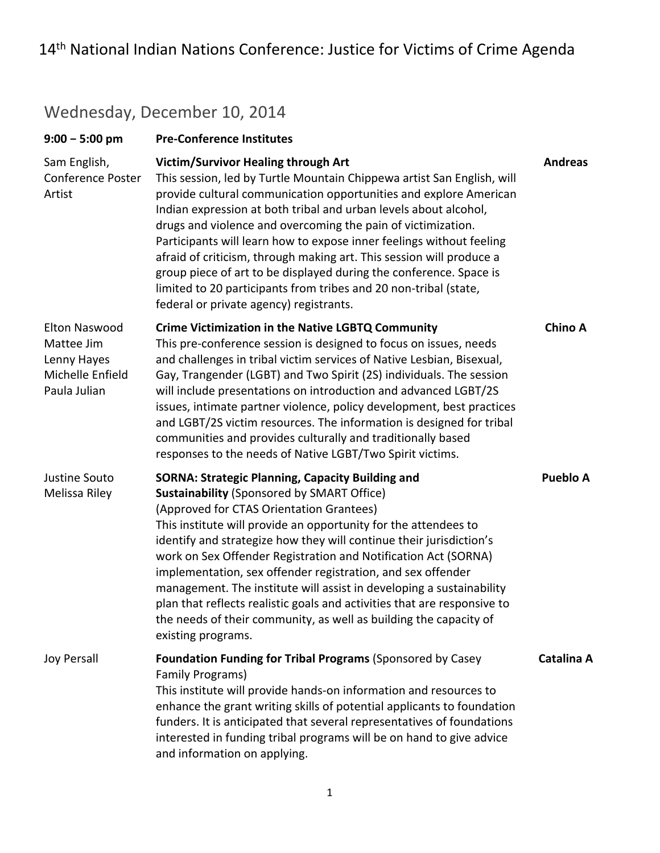### Wednesday, December 10, 2014

| $9:00 - 5:00$ pm                                                                      | <b>Pre-Conference Institutes</b>                                                                                                                                                                                                                                                                                                                                                                                                                                                                                                                                                                                                                                                   |                 |
|---------------------------------------------------------------------------------------|------------------------------------------------------------------------------------------------------------------------------------------------------------------------------------------------------------------------------------------------------------------------------------------------------------------------------------------------------------------------------------------------------------------------------------------------------------------------------------------------------------------------------------------------------------------------------------------------------------------------------------------------------------------------------------|-----------------|
| Sam English,<br><b>Conference Poster</b><br>Artist                                    | Victim/Survivor Healing through Art<br>This session, led by Turtle Mountain Chippewa artist San English, will<br>provide cultural communication opportunities and explore American<br>Indian expression at both tribal and urban levels about alcohol,<br>drugs and violence and overcoming the pain of victimization.<br>Participants will learn how to expose inner feelings without feeling<br>afraid of criticism, through making art. This session will produce a<br>group piece of art to be displayed during the conference. Space is<br>limited to 20 participants from tribes and 20 non-tribal (state,<br>federal or private agency) registrants.                        | <b>Andreas</b>  |
| <b>Elton Naswood</b><br>Mattee Jim<br>Lenny Hayes<br>Michelle Enfield<br>Paula Julian | <b>Crime Victimization in the Native LGBTQ Community</b><br>This pre-conference session is designed to focus on issues, needs<br>and challenges in tribal victim services of Native Lesbian, Bisexual,<br>Gay, Trangender (LGBT) and Two Spirit (2S) individuals. The session<br>will include presentations on introduction and advanced LGBT/2S<br>issues, intimate partner violence, policy development, best practices<br>and LGBT/2S victim resources. The information is designed for tribal<br>communities and provides culturally and traditionally based<br>responses to the needs of Native LGBT/Two Spirit victims.                                                      | <b>Chino A</b>  |
| Justine Souto<br>Melissa Riley                                                        | <b>SORNA: Strategic Planning, Capacity Building and</b><br><b>Sustainability (Sponsored by SMART Office)</b><br>(Approved for CTAS Orientation Grantees)<br>This institute will provide an opportunity for the attendees to<br>identify and strategize how they will continue their jurisdiction's<br>work on Sex Offender Registration and Notification Act (SORNA)<br>implementation, sex offender registration, and sex offender<br>management. The institute will assist in developing a sustainability<br>plan that reflects realistic goals and activities that are responsive to<br>the needs of their community, as well as building the capacity of<br>existing programs. | <b>Pueblo A</b> |
| Joy Persall                                                                           | Foundation Funding for Tribal Programs (Sponsored by Casey<br><b>Family Programs)</b><br>This institute will provide hands-on information and resources to<br>enhance the grant writing skills of potential applicants to foundation<br>funders. It is anticipated that several representatives of foundations<br>interested in funding tribal programs will be on hand to give advice<br>and information on applying.                                                                                                                                                                                                                                                             | Catalina A      |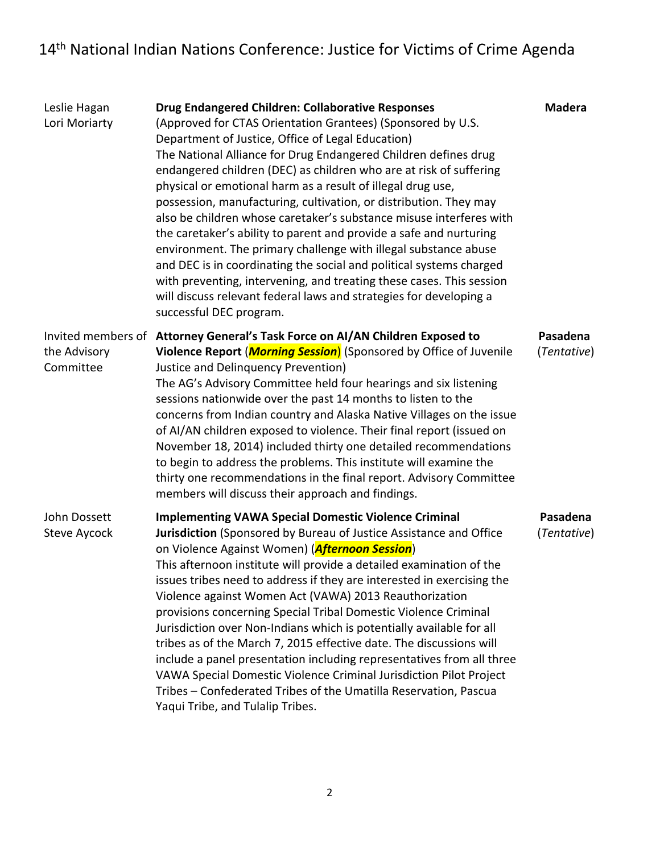| Leslie Hagan<br>Lori Moriarty | Drug Endangered Children: Collaborative Responses<br>(Approved for CTAS Orientation Grantees) (Sponsored by U.S.<br>Department of Justice, Office of Legal Education)<br>The National Alliance for Drug Endangered Children defines drug<br>endangered children (DEC) as children who are at risk of suffering<br>physical or emotional harm as a result of illegal drug use,<br>possession, manufacturing, cultivation, or distribution. They may<br>also be children whose caretaker's substance misuse interferes with<br>the caretaker's ability to parent and provide a safe and nurturing<br>environment. The primary challenge with illegal substance abuse<br>and DEC is in coordinating the social and political systems charged<br>with preventing, intervening, and treating these cases. This session<br>will discuss relevant federal laws and strategies for developing a<br>successful DEC program. | <b>Madera</b>           |
|-------------------------------|--------------------------------------------------------------------------------------------------------------------------------------------------------------------------------------------------------------------------------------------------------------------------------------------------------------------------------------------------------------------------------------------------------------------------------------------------------------------------------------------------------------------------------------------------------------------------------------------------------------------------------------------------------------------------------------------------------------------------------------------------------------------------------------------------------------------------------------------------------------------------------------------------------------------|-------------------------|
| the Advisory<br>Committee     | Invited members of Attorney General's Task Force on Al/AN Children Exposed to<br>Violence Report ( <i>Morning Session</i> ) (Sponsored by Office of Juvenile<br>Justice and Delinquency Prevention)<br>The AG's Advisory Committee held four hearings and six listening<br>sessions nationwide over the past 14 months to listen to the<br>concerns from Indian country and Alaska Native Villages on the issue<br>of AI/AN children exposed to violence. Their final report (issued on<br>November 18, 2014) included thirty one detailed recommendations<br>to begin to address the problems. This institute will examine the<br>thirty one recommendations in the final report. Advisory Committee<br>members will discuss their approach and findings.                                                                                                                                                         | Pasadena<br>(Tentative) |
| John Dossett<br>Steve Aycock  | <b>Implementing VAWA Special Domestic Violence Criminal</b><br>Jurisdiction (Sponsored by Bureau of Justice Assistance and Office<br>on Violence Against Women) (Afternoon Session)<br>This afternoon institute will provide a detailed examination of the<br>issues tribes need to address if they are interested in exercising the<br>Violence against Women Act (VAWA) 2013 Reauthorization<br>provisions concerning Special Tribal Domestic Violence Criminal<br>Jurisdiction over Non-Indians which is potentially available for all<br>tribes as of the March 7, 2015 effective date. The discussions will<br>include a panel presentation including representatives from all three<br>VAWA Special Domestic Violence Criminal Jurisdiction Pilot Project<br>Tribes - Confederated Tribes of the Umatilla Reservation, Pascua<br>Yaqui Tribe, and Tulalip Tribes.                                            | Pasadena<br>(Tentative) |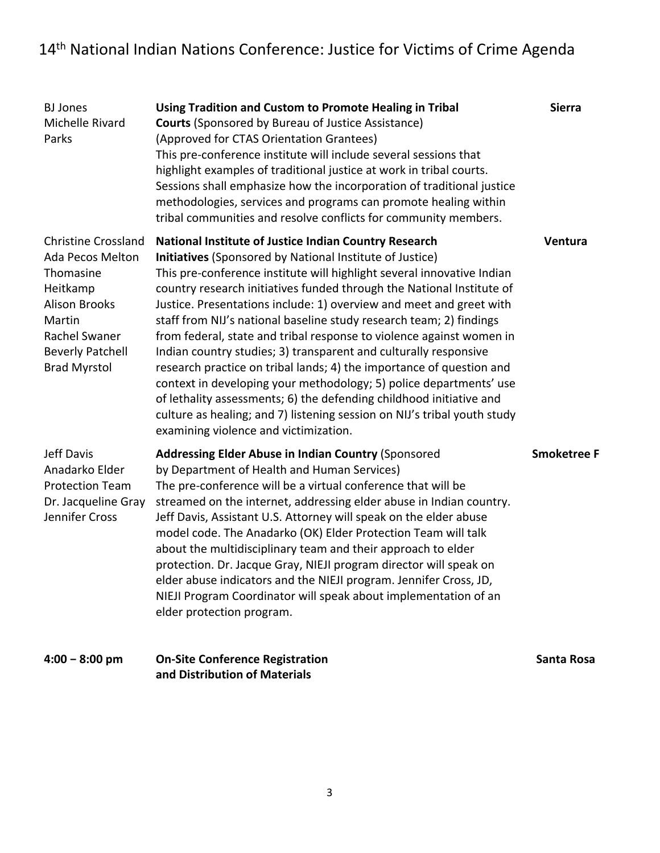| <b>BJ</b> Jones<br>Michelle Rivard<br>Parks                                                                                                                                         | Using Tradition and Custom to Promote Healing in Tribal<br><b>Courts (Sponsored by Bureau of Justice Assistance)</b><br>(Approved for CTAS Orientation Grantees)<br>This pre-conference institute will include several sessions that<br>highlight examples of traditional justice at work in tribal courts.<br>Sessions shall emphasize how the incorporation of traditional justice<br>methodologies, services and programs can promote healing within<br>tribal communities and resolve conflicts for community members.                                                                                                                                                                                                                                                                                                                                                                               | <b>Sierra</b>      |
|-------------------------------------------------------------------------------------------------------------------------------------------------------------------------------------|----------------------------------------------------------------------------------------------------------------------------------------------------------------------------------------------------------------------------------------------------------------------------------------------------------------------------------------------------------------------------------------------------------------------------------------------------------------------------------------------------------------------------------------------------------------------------------------------------------------------------------------------------------------------------------------------------------------------------------------------------------------------------------------------------------------------------------------------------------------------------------------------------------|--------------------|
| <b>Christine Crossland</b><br><b>Ada Pecos Melton</b><br>Thomasine<br>Heitkamp<br><b>Alison Brooks</b><br>Martin<br>Rachel Swaner<br><b>Beverly Patchell</b><br><b>Brad Myrstol</b> | National Institute of Justice Indian Country Research<br>Initiatives (Sponsored by National Institute of Justice)<br>This pre-conference institute will highlight several innovative Indian<br>country research initiatives funded through the National Institute of<br>Justice. Presentations include: 1) overview and meet and greet with<br>staff from NIJ's national baseline study research team; 2) findings<br>from federal, state and tribal response to violence against women in<br>Indian country studies; 3) transparent and culturally responsive<br>research practice on tribal lands; 4) the importance of question and<br>context in developing your methodology; 5) police departments' use<br>of lethality assessments; 6) the defending childhood initiative and<br>culture as healing; and 7) listening session on NIJ's tribal youth study<br>examining violence and victimization. | Ventura            |
| Jeff Davis<br>Anadarko Elder<br><b>Protection Team</b><br>Dr. Jacqueline Gray<br>Jennifer Cross                                                                                     | <b>Addressing Elder Abuse in Indian Country (Sponsored</b><br>by Department of Health and Human Services)<br>The pre-conference will be a virtual conference that will be<br>streamed on the internet, addressing elder abuse in Indian country.<br>Jeff Davis, Assistant U.S. Attorney will speak on the elder abuse<br>model code. The Anadarko (OK) Elder Protection Team will talk<br>about the multidisciplinary team and their approach to elder<br>protection. Dr. Jacque Gray, NIEJI program director will speak on<br>elder abuse indicators and the NIEJI program. Jennifer Cross, JD,<br>NIEJI Program Coordinator will speak about implementation of an<br>elder protection program.                                                                                                                                                                                                         | <b>Smoketree F</b> |
| $4:00 - 8:00$ pm                                                                                                                                                                    | <b>On-Site Conference Registration</b>                                                                                                                                                                                                                                                                                                                                                                                                                                                                                                                                                                                                                                                                                                                                                                                                                                                                   | Santa Rosa         |

**and Distribution of Materials**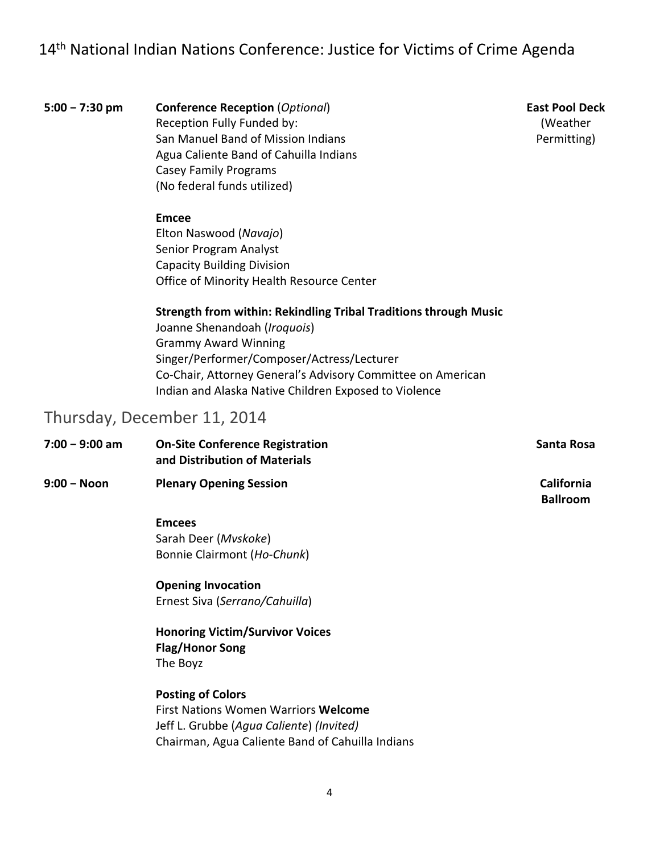**5:00 − 7:30 pm Conference Reception** (*Optional*) Reception Fully Funded by: San Manuel Band of Mission Indians Agua Caliente Band of Cahuilla Indians Casey Family Programs (No federal funds utilized)

#### **Emcee**

Elton Naswood (*Navajo*) Senior Program Analyst Capacity Building Division Office of Minority Health Resource Center

#### **Strength from within: Rekindling Tribal Traditions through Music**

Joanne Shenandoah (*Iroquois*) Grammy Award Winning Singer/Performer/Composer/Actress/Lecturer Co‐Chair, Attorney General's Advisory Committee on American Indian and Alaska Native Children Exposed to Violence

### Thursday, December 11, 2014

| 7:00 - 9:00 am | <b>On-Site Conference Registration</b><br>and Distribution of Materials | Santa Rosa                    |
|----------------|-------------------------------------------------------------------------|-------------------------------|
| 9:00 - Noon    | <b>Plenary Opening Session</b>                                          | California<br><b>Ballroom</b> |
|                | <b>Emcees</b>                                                           |                               |
|                | Sarah Deer (Mvskoke)                                                    |                               |
|                | Bonnie Clairmont (Ho-Chunk)                                             |                               |
|                | <b>Opening Invocation</b>                                               |                               |
|                | Ernest Siva (Serrano/Cahuilla)                                          |                               |
|                | <b>Honoring Victim/Survivor Voices</b>                                  |                               |

**Flag/Honor Song** The Boyz

**Posting of Colors** First Nations Women Warriors **Welcome** Jeff L. Grubbe (*Agua Caliente*) *(Invited)* Chairman, Agua Caliente Band of Cahuilla Indians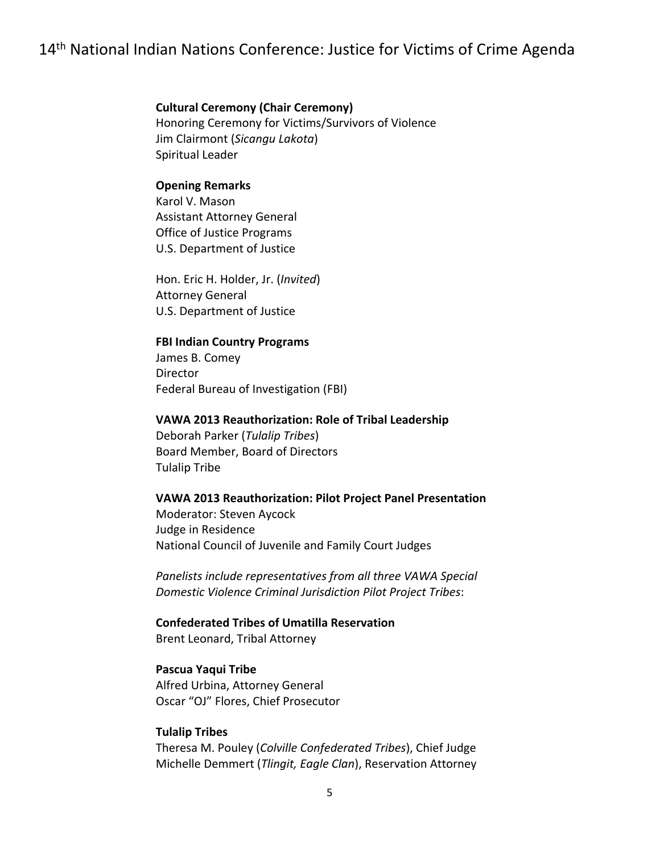#### **Cultural Ceremony (Chair Ceremony)**

 Honoring Ceremony for Victims/Survivors of Violence Jim Clairmont (*Sicangu Lakota*) Spiritual Leader

#### **Opening Remarks**

 Karol V. Mason Assistant Attorney General Office of Justice Programs U.S. Department of Justice

 Hon. Eric H. Holder, Jr. (*Invited*) Attorney General U.S. Department of Justice

#### **FBI Indian Country Programs**

 James B. Comey Federal Bureau of Investigation (FBI) Director

#### **VAWA 2013 Reauthorization: Role of Tribal Leadership**

 Deborah Parker (*Tulalip Tribes*) Board Member, Board of Directors Tulalip Tribe

#### **VAWA 2013 Reauthorization: Pilot Project Panel Presentation**

 Moderator: Steven Aycock Judge in Residence National Council of Juvenile and Family Court Judges

 *Panelists include representatives from all three VAWA Special Domestic Violence Criminal Jurisdiction Pilot Project Tribes*:

### **Confederated Tribes of Umatilla Reservation**

Brent Leonard, Tribal Attorney

#### **Pascua Yaqui Tribe**

 Alfred Urbina, Attorney General Oscar "OJ" Flores, Chief Prosecutor

#### **Tulalip Tribes**

 Theresa M. Pouley (*Colville Confederated Tribes*), Chief Judge  Michelle Demmert (*Tlingit, Eagle Clan*), Reservation Attorney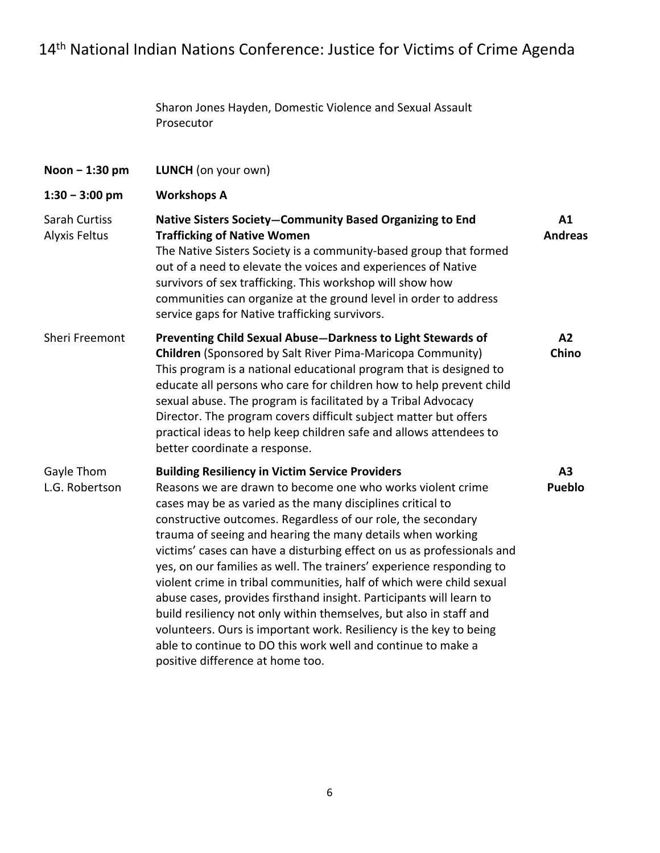|                                | Sharon Jones Hayden, Domestic Violence and Sexual Assault<br>Prosecutor                                                                                                                                                                                                                                                                                                                                                                                                                                                                                                                                                                                                                                                                                                                                                                                           |                      |
|--------------------------------|-------------------------------------------------------------------------------------------------------------------------------------------------------------------------------------------------------------------------------------------------------------------------------------------------------------------------------------------------------------------------------------------------------------------------------------------------------------------------------------------------------------------------------------------------------------------------------------------------------------------------------------------------------------------------------------------------------------------------------------------------------------------------------------------------------------------------------------------------------------------|----------------------|
| Noon - 1:30 pm                 | LUNCH (on your own)                                                                                                                                                                                                                                                                                                                                                                                                                                                                                                                                                                                                                                                                                                                                                                                                                                               |                      |
| $1:30 - 3:00$ pm               | <b>Workshops A</b>                                                                                                                                                                                                                                                                                                                                                                                                                                                                                                                                                                                                                                                                                                                                                                                                                                                |                      |
| Sarah Curtiss<br>Alyxis Feltus | Native Sisters Society-Community Based Organizing to End<br><b>Trafficking of Native Women</b><br>The Native Sisters Society is a community-based group that formed<br>out of a need to elevate the voices and experiences of Native<br>survivors of sex trafficking. This workshop will show how<br>communities can organize at the ground level in order to address<br>service gaps for Native trafficking survivors.                                                                                                                                                                                                                                                                                                                                                                                                                                           | A1<br><b>Andreas</b> |
| <b>Sheri Freemont</b>          | Preventing Child Sexual Abuse-Darkness to Light Stewards of<br><b>Children</b> (Sponsored by Salt River Pima-Maricopa Community)<br>This program is a national educational program that is designed to<br>educate all persons who care for children how to help prevent child<br>sexual abuse. The program is facilitated by a Tribal Advocacy<br>Director. The program covers difficult subject matter but offers<br>practical ideas to help keep children safe and allows attendees to<br>better coordinate a response.                                                                                                                                                                                                                                                                                                                                         | A2<br>Chino          |
| Gayle Thom<br>L.G. Robertson   | <b>Building Resiliency in Victim Service Providers</b><br>Reasons we are drawn to become one who works violent crime<br>cases may be as varied as the many disciplines critical to<br>constructive outcomes. Regardless of our role, the secondary<br>trauma of seeing and hearing the many details when working<br>victims' cases can have a disturbing effect on us as professionals and<br>yes, on our families as well. The trainers' experience responding to<br>violent crime in tribal communities, half of which were child sexual<br>abuse cases, provides firsthand insight. Participants will learn to<br>build resiliency not only within themselves, but also in staff and<br>volunteers. Ours is important work. Resiliency is the key to being<br>able to continue to DO this work well and continue to make a<br>positive difference at home too. | A3<br><b>Pueblo</b>  |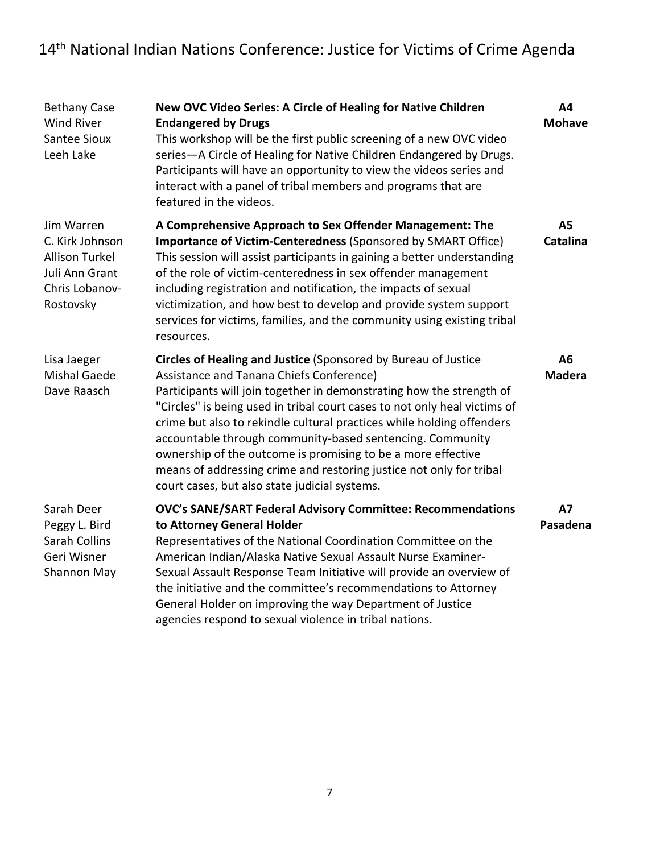| <b>Bethany Case</b><br><b>Wind River</b><br><b>Santee Sioux</b><br>Leeh Lake                            | New OVC Video Series: A Circle of Healing for Native Children<br><b>Endangered by Drugs</b><br>This workshop will be the first public screening of a new OVC video<br>series-A Circle of Healing for Native Children Endangered by Drugs.<br>Participants will have an opportunity to view the videos series and<br>interact with a panel of tribal members and programs that are<br>featured in the videos.                                                                                                                                                                                  | A4<br><b>Mohave</b>          |
|---------------------------------------------------------------------------------------------------------|-----------------------------------------------------------------------------------------------------------------------------------------------------------------------------------------------------------------------------------------------------------------------------------------------------------------------------------------------------------------------------------------------------------------------------------------------------------------------------------------------------------------------------------------------------------------------------------------------|------------------------------|
| Jim Warren<br>C. Kirk Johnson<br><b>Allison Turkel</b><br>Juli Ann Grant<br>Chris Lobanov-<br>Rostovsky | A Comprehensive Approach to Sex Offender Management: The<br><b>Importance of Victim-Centeredness (Sponsored by SMART Office)</b><br>This session will assist participants in gaining a better understanding<br>of the role of victim-centeredness in sex offender management<br>including registration and notification, the impacts of sexual<br>victimization, and how best to develop and provide system support<br>services for victims, families, and the community using existing tribal<br>resources.                                                                                  | <b>A5</b><br><b>Catalina</b> |
| Lisa Jaeger<br><b>Mishal Gaede</b><br>Dave Raasch                                                       | Circles of Healing and Justice (Sponsored by Bureau of Justice<br>Assistance and Tanana Chiefs Conference)<br>Participants will join together in demonstrating how the strength of<br>"Circles" is being used in tribal court cases to not only heal victims of<br>crime but also to rekindle cultural practices while holding offenders<br>accountable through community-based sentencing. Community<br>ownership of the outcome is promising to be a more effective<br>means of addressing crime and restoring justice not only for tribal<br>court cases, but also state judicial systems. | A6<br><b>Madera</b>          |
| Sarah Deer<br>Peggy L. Bird<br>Sarah Collins<br>Geri Wisner<br>Shannon May                              | OVC's SANE/SART Federal Advisory Committee: Recommendations<br>to Attorney General Holder<br>Representatives of the National Coordination Committee on the<br>American Indian/Alaska Native Sexual Assault Nurse Examiner-<br>Sexual Assault Response Team Initiative will provide an overview of<br>the initiative and the committee's recommendations to Attorney<br>General Holder on improving the way Department of Justice<br>agencies respond to sexual violence in tribal nations.                                                                                                    | <b>A7</b><br>Pasadena        |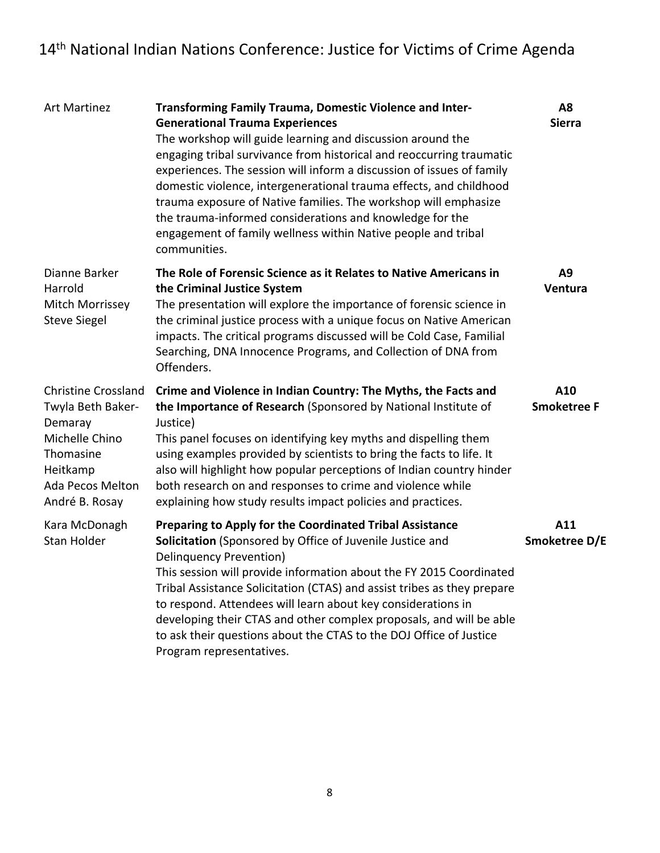| <b>Art Martinez</b>                                                                                                                         | <b>Transforming Family Trauma, Domestic Violence and Inter-</b><br><b>Generational Trauma Experiences</b><br>The workshop will guide learning and discussion around the<br>engaging tribal survivance from historical and reoccurring traumatic<br>experiences. The session will inform a discussion of issues of family<br>domestic violence, intergenerational trauma effects, and childhood<br>trauma exposure of Native families. The workshop will emphasize<br>the trauma-informed considerations and knowledge for the<br>engagement of family wellness within Native people and tribal<br>communities. | A8<br><b>Sierra</b>       |
|---------------------------------------------------------------------------------------------------------------------------------------------|----------------------------------------------------------------------------------------------------------------------------------------------------------------------------------------------------------------------------------------------------------------------------------------------------------------------------------------------------------------------------------------------------------------------------------------------------------------------------------------------------------------------------------------------------------------------------------------------------------------|---------------------------|
| Dianne Barker<br>Harrold<br>Mitch Morrissey<br><b>Steve Siegel</b>                                                                          | The Role of Forensic Science as it Relates to Native Americans in<br>the Criminal Justice System<br>The presentation will explore the importance of forensic science in<br>the criminal justice process with a unique focus on Native American<br>impacts. The critical programs discussed will be Cold Case, Familial<br>Searching, DNA Innocence Programs, and Collection of DNA from<br>Offenders.                                                                                                                                                                                                          | A9<br>Ventura             |
| <b>Christine Crossland</b><br>Twyla Beth Baker-<br>Demaray<br>Michelle Chino<br>Thomasine<br>Heitkamp<br>Ada Pecos Melton<br>André B. Rosay | Crime and Violence in Indian Country: The Myths, the Facts and<br>the Importance of Research (Sponsored by National Institute of<br>Justice)<br>This panel focuses on identifying key myths and dispelling them<br>using examples provided by scientists to bring the facts to life. It<br>also will highlight how popular perceptions of Indian country hinder<br>both research on and responses to crime and violence while<br>explaining how study results impact policies and practices.                                                                                                                   | A10<br><b>Smoketree F</b> |
| Kara McDonagh<br>Stan Holder                                                                                                                | Preparing to Apply for the Coordinated Tribal Assistance<br>Solicitation (Sponsored by Office of Juvenile Justice and<br><b>Delinquency Prevention)</b><br>This session will provide information about the FY 2015 Coordinated<br>Tribal Assistance Solicitation (CTAS) and assist tribes as they prepare<br>to respond. Attendees will learn about key considerations in<br>developing their CTAS and other complex proposals, and will be able<br>to ask their questions about the CTAS to the DOJ Office of Justice<br>Program representatives.                                                             | A11<br>Smoketree D/E      |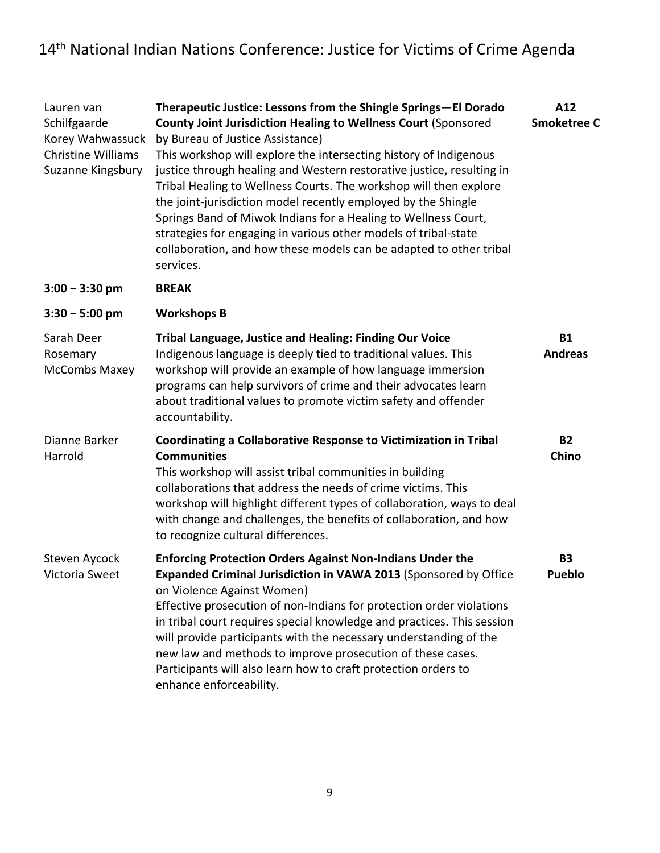| Lauren van<br>Schilfgaarde<br>Korey Wahwassuck<br><b>Christine Williams</b><br>Suzanne Kingsbury | Therapeutic Justice: Lessons from the Shingle Springs-El Dorado<br><b>County Joint Jurisdiction Healing to Wellness Court (Sponsored</b><br>by Bureau of Justice Assistance)<br>This workshop will explore the intersecting history of Indigenous<br>justice through healing and Western restorative justice, resulting in<br>Tribal Healing to Wellness Courts. The workshop will then explore<br>the joint-jurisdiction model recently employed by the Shingle<br>Springs Band of Miwok Indians for a Healing to Wellness Court,<br>strategies for engaging in various other models of tribal-state<br>collaboration, and how these models can be adapted to other tribal<br>services. | A12<br><b>Smoketree C</b>   |
|--------------------------------------------------------------------------------------------------|------------------------------------------------------------------------------------------------------------------------------------------------------------------------------------------------------------------------------------------------------------------------------------------------------------------------------------------------------------------------------------------------------------------------------------------------------------------------------------------------------------------------------------------------------------------------------------------------------------------------------------------------------------------------------------------|-----------------------------|
| $3:00 - 3:30$ pm                                                                                 | <b>BREAK</b>                                                                                                                                                                                                                                                                                                                                                                                                                                                                                                                                                                                                                                                                             |                             |
| $3:30 - 5:00$ pm                                                                                 | <b>Workshops B</b>                                                                                                                                                                                                                                                                                                                                                                                                                                                                                                                                                                                                                                                                       |                             |
| Sarah Deer<br>Rosemary<br>McCombs Maxey                                                          | <b>Tribal Language, Justice and Healing: Finding Our Voice</b><br>Indigenous language is deeply tied to traditional values. This<br>workshop will provide an example of how language immersion<br>programs can help survivors of crime and their advocates learn<br>about traditional values to promote victim safety and offender<br>accountability.                                                                                                                                                                                                                                                                                                                                    | <b>B1</b><br><b>Andreas</b> |
| Dianne Barker<br>Harrold                                                                         | Coordinating a Collaborative Response to Victimization in Tribal<br><b>Communities</b><br>This workshop will assist tribal communities in building<br>collaborations that address the needs of crime victims. This<br>workshop will highlight different types of collaboration, ways to deal<br>with change and challenges, the benefits of collaboration, and how<br>to recognize cultural differences.                                                                                                                                                                                                                                                                                 | <b>B2</b><br>Chino          |
| Steven Aycock<br>Victoria Sweet                                                                  | <b>Enforcing Protection Orders Against Non-Indians Under the</b><br>Expanded Criminal Jurisdiction in VAWA 2013 (Sponsored by Office<br>on Violence Against Women)<br>Effective prosecution of non-Indians for protection order violations<br>in tribal court requires special knowledge and practices. This session<br>will provide participants with the necessary understanding of the<br>new law and methods to improve prosecution of these cases.<br>Participants will also learn how to craft protection orders to<br>enhance enforceability.                                                                                                                                     | <b>B3</b><br><b>Pueblo</b>  |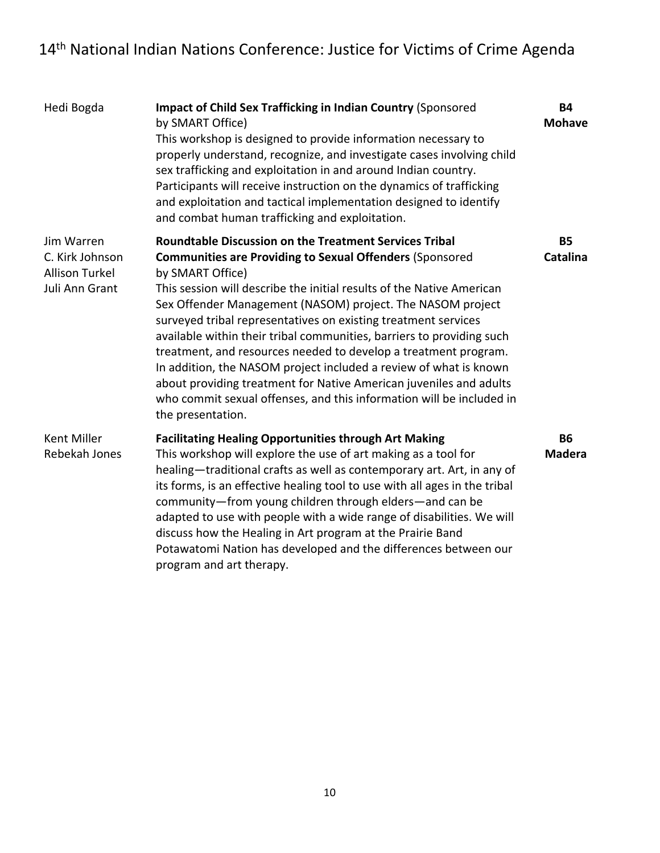| Hedi Bogda                                                               | <b>Impact of Child Sex Trafficking in Indian Country (Sponsored</b><br>by SMART Office)<br>This workshop is designed to provide information necessary to<br>properly understand, recognize, and investigate cases involving child<br>sex trafficking and exploitation in and around Indian country.<br>Participants will receive instruction on the dynamics of trafficking<br>and exploitation and tactical implementation designed to identify<br>and combat human trafficking and exploitation.                                                                                                                                                                                                                                                | <b>B4</b><br><b>Mohave</b>   |
|--------------------------------------------------------------------------|---------------------------------------------------------------------------------------------------------------------------------------------------------------------------------------------------------------------------------------------------------------------------------------------------------------------------------------------------------------------------------------------------------------------------------------------------------------------------------------------------------------------------------------------------------------------------------------------------------------------------------------------------------------------------------------------------------------------------------------------------|------------------------------|
| Jim Warren<br>C. Kirk Johnson<br><b>Allison Turkel</b><br>Juli Ann Grant | <b>Roundtable Discussion on the Treatment Services Tribal</b><br><b>Communities are Providing to Sexual Offenders (Sponsored</b><br>by SMART Office)<br>This session will describe the initial results of the Native American<br>Sex Offender Management (NASOM) project. The NASOM project<br>surveyed tribal representatives on existing treatment services<br>available within their tribal communities, barriers to providing such<br>treatment, and resources needed to develop a treatment program.<br>In addition, the NASOM project included a review of what is known<br>about providing treatment for Native American juveniles and adults<br>who commit sexual offenses, and this information will be included in<br>the presentation. | <b>B5</b><br><b>Catalina</b> |
| Kent Miller<br>Rebekah Jones                                             | <b>Facilitating Healing Opportunities through Art Making</b><br>This workshop will explore the use of art making as a tool for<br>healing-traditional crafts as well as contemporary art. Art, in any of<br>its forms, is an effective healing tool to use with all ages in the tribal<br>community-from young children through elders-and can be<br>adapted to use with people with a wide range of disabilities. We will<br>discuss how the Healing in Art program at the Prairie Band<br>Potawatomi Nation has developed and the differences between our<br>program and art therapy.                                                                                                                                                           | <b>B6</b><br><b>Madera</b>   |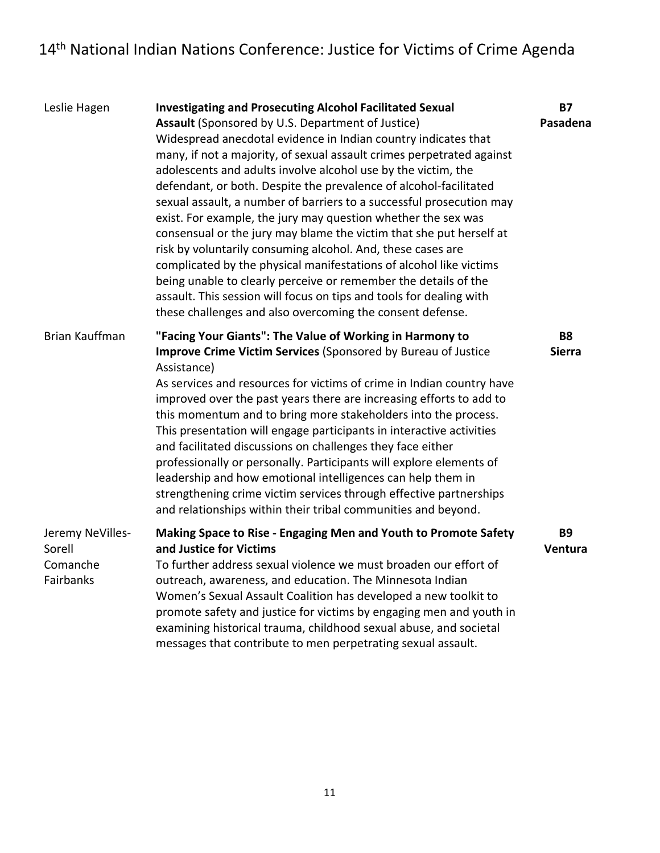| Leslie Hagen                                        | <b>Investigating and Prosecuting Alcohol Facilitated Sexual</b><br>Assault (Sponsored by U.S. Department of Justice)<br>Widespread anecdotal evidence in Indian country indicates that<br>many, if not a majority, of sexual assault crimes perpetrated against<br>adolescents and adults involve alcohol use by the victim, the<br>defendant, or both. Despite the prevalence of alcohol-facilitated<br>sexual assault, a number of barriers to a successful prosecution may<br>exist. For example, the jury may question whether the sex was<br>consensual or the jury may blame the victim that she put herself at<br>risk by voluntarily consuming alcohol. And, these cases are<br>complicated by the physical manifestations of alcohol like victims<br>being unable to clearly perceive or remember the details of the<br>assault. This session will focus on tips and tools for dealing with<br>these challenges and also overcoming the consent defense. | <b>B7</b><br>Pasadena      |
|-----------------------------------------------------|-------------------------------------------------------------------------------------------------------------------------------------------------------------------------------------------------------------------------------------------------------------------------------------------------------------------------------------------------------------------------------------------------------------------------------------------------------------------------------------------------------------------------------------------------------------------------------------------------------------------------------------------------------------------------------------------------------------------------------------------------------------------------------------------------------------------------------------------------------------------------------------------------------------------------------------------------------------------|----------------------------|
| <b>Brian Kauffman</b>                               | "Facing Your Giants": The Value of Working in Harmony to<br><b>Improve Crime Victim Services (Sponsored by Bureau of Justice</b><br>Assistance)<br>As services and resources for victims of crime in Indian country have<br>improved over the past years there are increasing efforts to add to<br>this momentum and to bring more stakeholders into the process.<br>This presentation will engage participants in interactive activities<br>and facilitated discussions on challenges they face either<br>professionally or personally. Participants will explore elements of<br>leadership and how emotional intelligences can help them in<br>strengthening crime victim services through effective partnerships<br>and relationships within their tribal communities and beyond.                                                                                                                                                                              | <b>B8</b><br><b>Sierra</b> |
| Jeremy NeVilles-<br>Sorell<br>Comanche<br>Fairbanks | Making Space to Rise - Engaging Men and Youth to Promote Safety<br>and Justice for Victims<br>To further address sexual violence we must broaden our effort of<br>outreach, awareness, and education. The Minnesota Indian<br>Women's Sexual Assault Coalition has developed a new toolkit to<br>promote safety and justice for victims by engaging men and youth in<br>examining historical trauma, childhood sexual abuse, and societal<br>messages that contribute to men perpetrating sexual assault.                                                                                                                                                                                                                                                                                                                                                                                                                                                         | <b>B9</b><br>Ventura       |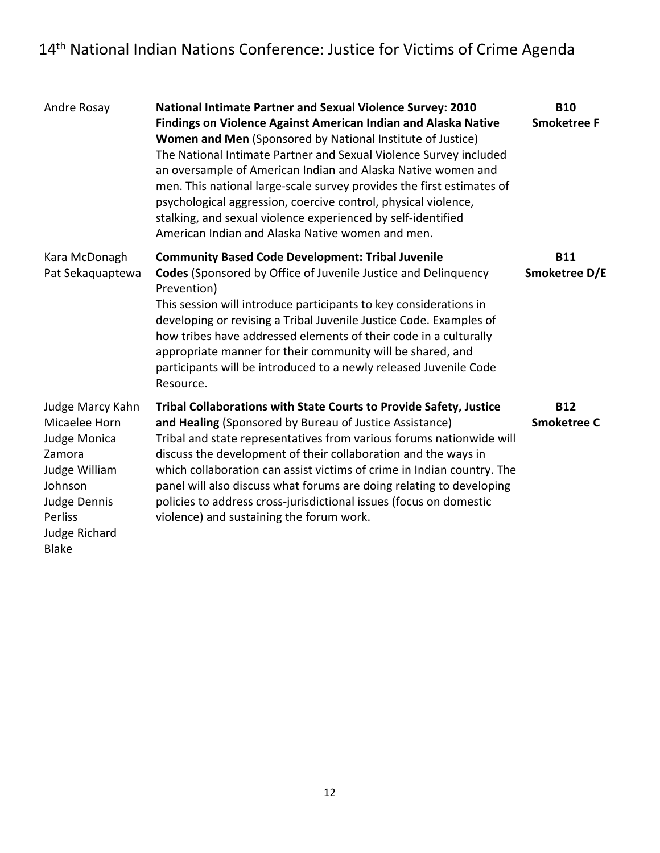| Andre Rosay                                                                                                                                                | <b>National Intimate Partner and Sexual Violence Survey: 2010</b><br><b>Findings on Violence Against American Indian and Alaska Native</b><br><b>Women and Men (Sponsored by National Institute of Justice)</b><br>The National Intimate Partner and Sexual Violence Survey included<br>an oversample of American Indian and Alaska Native women and<br>men. This national large-scale survey provides the first estimates of<br>psychological aggression, coercive control, physical violence,<br>stalking, and sexual violence experienced by self-identified<br>American Indian and Alaska Native women and men. | <b>B10</b><br><b>Smoketree F</b> |
|------------------------------------------------------------------------------------------------------------------------------------------------------------|---------------------------------------------------------------------------------------------------------------------------------------------------------------------------------------------------------------------------------------------------------------------------------------------------------------------------------------------------------------------------------------------------------------------------------------------------------------------------------------------------------------------------------------------------------------------------------------------------------------------|----------------------------------|
| Kara McDonagh<br>Pat Sekaquaptewa                                                                                                                          | <b>Community Based Code Development: Tribal Juvenile</b><br><b>Codes</b> (Sponsored by Office of Juvenile Justice and Delinquency<br>Prevention)<br>This session will introduce participants to key considerations in<br>developing or revising a Tribal Juvenile Justice Code. Examples of<br>how tribes have addressed elements of their code in a culturally<br>appropriate manner for their community will be shared, and<br>participants will be introduced to a newly released Juvenile Code<br>Resource.                                                                                                     | <b>B11</b><br>Smoketree D/E      |
| Judge Marcy Kahn<br>Micaelee Horn<br>Judge Monica<br>Zamora<br>Judge William<br>Johnson<br><b>Judge Dennis</b><br>Perliss<br>Judge Richard<br><b>Blake</b> | <b>Tribal Collaborations with State Courts to Provide Safety, Justice</b><br>and Healing (Sponsored by Bureau of Justice Assistance)<br>Tribal and state representatives from various forums nationwide will<br>discuss the development of their collaboration and the ways in<br>which collaboration can assist victims of crime in Indian country. The<br>panel will also discuss what forums are doing relating to developing<br>policies to address cross-jurisdictional issues (focus on domestic<br>violence) and sustaining the forum work.                                                                  | <b>B12</b><br><b>Smoketree C</b> |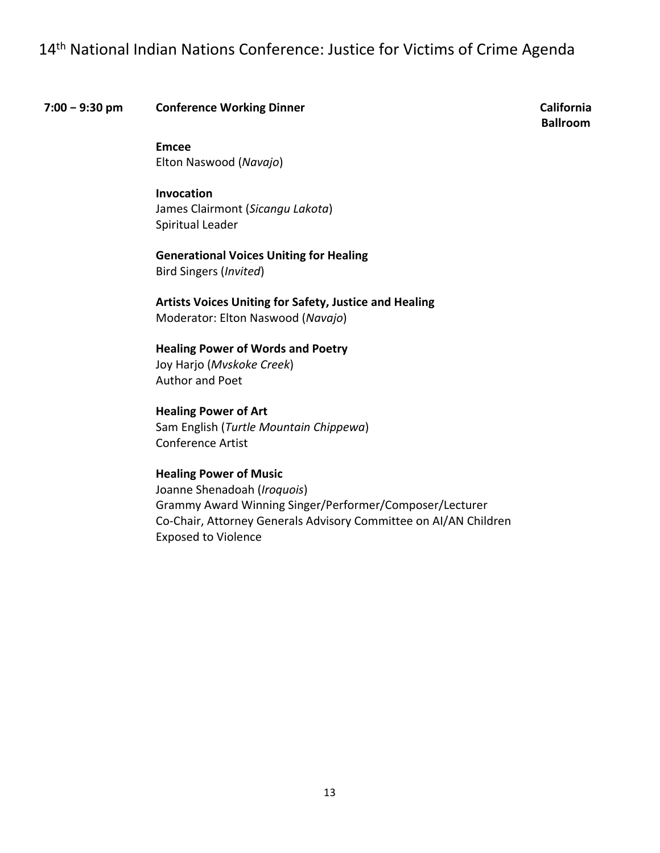#### **7:00 − 9:30 pm Conference Working Dinner California**

**Ballroom**

 Elton Naswood (*Navajo*) **Emcee**

#### **Invocation**

 James Clairmont (*Sicangu Lakota*) Spiritual Leader

 **Generational Voices Uniting for Healing** Bird Singers (*Invited*)

 **Artists Voices Uniting for Safety, Justice and Healing** Moderator: Elton Naswood (*Navajo*)

#### **Healing Power of Words and Poetry**

 Joy Harjo (*Mvskoke Creek*) Author and Poet

 **Healing Power of Art**  Sam English (*Turtle Mountain Chippewa*) Conference Artist

#### **Healing Power of Music**

 Joanne Shenadoah (*Iroquois*) Grammy Award Winning Singer/Performer/Composer/Lecturer Co‐Chair, Attorney Generals Advisory Committee on AI/AN Children Exposed to Violence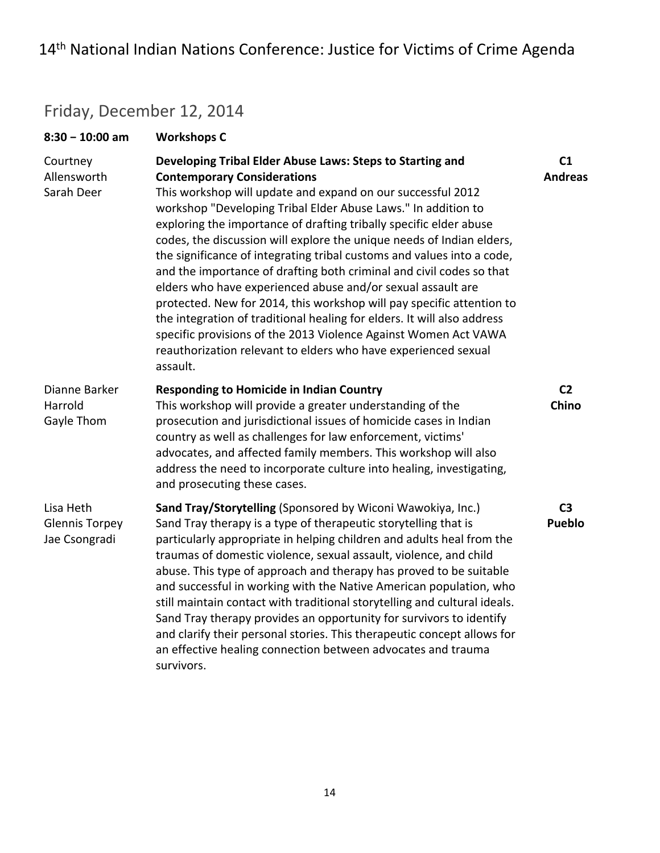### Friday, December 12, 2014

| $8:30 - 10:00$ am                                   | <b>Workshops C</b>                                                                                                                                                                                                                                                                                                                                                                                                                                                                                                                                                                                                                                                                                                                                                                                                                                                                                   |                                  |
|-----------------------------------------------------|------------------------------------------------------------------------------------------------------------------------------------------------------------------------------------------------------------------------------------------------------------------------------------------------------------------------------------------------------------------------------------------------------------------------------------------------------------------------------------------------------------------------------------------------------------------------------------------------------------------------------------------------------------------------------------------------------------------------------------------------------------------------------------------------------------------------------------------------------------------------------------------------------|----------------------------------|
| Courtney<br>Allensworth<br>Sarah Deer               | Developing Tribal Elder Abuse Laws: Steps to Starting and<br><b>Contemporary Considerations</b><br>This workshop will update and expand on our successful 2012<br>workshop "Developing Tribal Elder Abuse Laws." In addition to<br>exploring the importance of drafting tribally specific elder abuse<br>codes, the discussion will explore the unique needs of Indian elders,<br>the significance of integrating tribal customs and values into a code,<br>and the importance of drafting both criminal and civil codes so that<br>elders who have experienced abuse and/or sexual assault are<br>protected. New for 2014, this workshop will pay specific attention to<br>the integration of traditional healing for elders. It will also address<br>specific provisions of the 2013 Violence Against Women Act VAWA<br>reauthorization relevant to elders who have experienced sexual<br>assault. | C <sub>1</sub><br><b>Andreas</b> |
| Dianne Barker<br>Harrold<br>Gayle Thom              | <b>Responding to Homicide in Indian Country</b><br>This workshop will provide a greater understanding of the<br>prosecution and jurisdictional issues of homicide cases in Indian<br>country as well as challenges for law enforcement, victims'<br>advocates, and affected family members. This workshop will also<br>address the need to incorporate culture into healing, investigating,<br>and prosecuting these cases.                                                                                                                                                                                                                                                                                                                                                                                                                                                                          | C <sub>2</sub><br>Chino          |
| Lisa Heth<br><b>Glennis Torpey</b><br>Jae Csongradi | Sand Tray/Storytelling (Sponsored by Wiconi Wawokiya, Inc.)<br>Sand Tray therapy is a type of therapeutic storytelling that is<br>particularly appropriate in helping children and adults heal from the<br>traumas of domestic violence, sexual assault, violence, and child<br>abuse. This type of approach and therapy has proved to be suitable<br>and successful in working with the Native American population, who<br>still maintain contact with traditional storytelling and cultural ideals.<br>Sand Tray therapy provides an opportunity for survivors to identify<br>and clarify their personal stories. This therapeutic concept allows for<br>an effective healing connection between advocates and trauma<br>survivors.                                                                                                                                                                | C <sub>3</sub><br><b>Pueblo</b>  |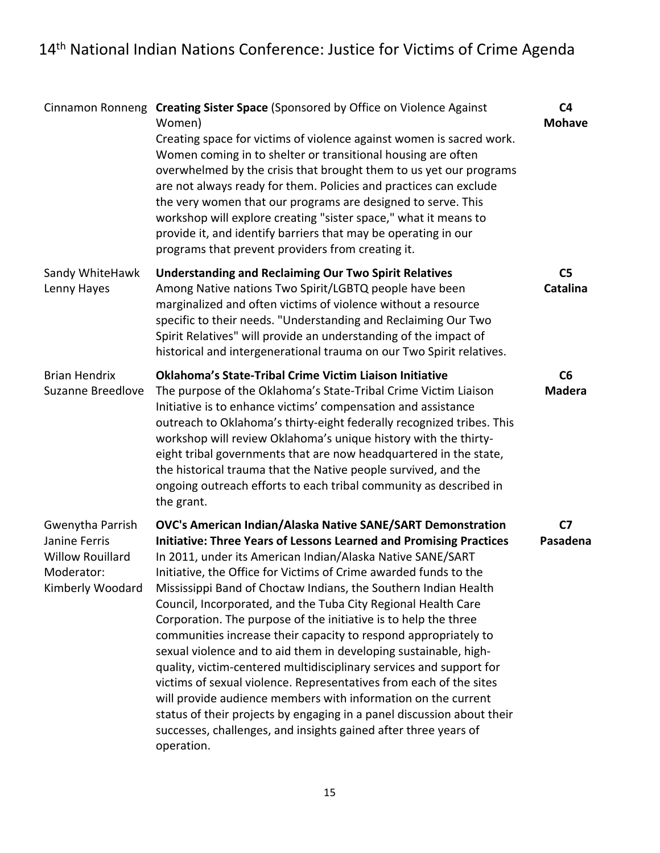|                                                                                                | Cinnamon Ronneng Creating Sister Space (Sponsored by Office on Violence Against<br>Women)<br>Creating space for victims of violence against women is sacred work.<br>Women coming in to shelter or transitional housing are often<br>overwhelmed by the crisis that brought them to us yet our programs<br>are not always ready for them. Policies and practices can exclude<br>the very women that our programs are designed to serve. This<br>workshop will explore creating "sister space," what it means to<br>provide it, and identify barriers that may be operating in our<br>programs that prevent providers from creating it.                                                                                                                                                                                                                                                                                                                                                            | C <sub>4</sub><br><b>Mohave</b>   |
|------------------------------------------------------------------------------------------------|---------------------------------------------------------------------------------------------------------------------------------------------------------------------------------------------------------------------------------------------------------------------------------------------------------------------------------------------------------------------------------------------------------------------------------------------------------------------------------------------------------------------------------------------------------------------------------------------------------------------------------------------------------------------------------------------------------------------------------------------------------------------------------------------------------------------------------------------------------------------------------------------------------------------------------------------------------------------------------------------------|-----------------------------------|
| Sandy WhiteHawk<br>Lenny Hayes                                                                 | <b>Understanding and Reclaiming Our Two Spirit Relatives</b><br>Among Native nations Two Spirit/LGBTQ people have been<br>marginalized and often victims of violence without a resource<br>specific to their needs. "Understanding and Reclaiming Our Two<br>Spirit Relatives" will provide an understanding of the impact of<br>historical and intergenerational trauma on our Two Spirit relatives.                                                                                                                                                                                                                                                                                                                                                                                                                                                                                                                                                                                             | C <sub>5</sub><br><b>Catalina</b> |
| <b>Brian Hendrix</b><br>Suzanne Breedlove                                                      | Oklahoma's State-Tribal Crime Victim Liaison Initiative<br>The purpose of the Oklahoma's State-Tribal Crime Victim Liaison<br>Initiative is to enhance victims' compensation and assistance<br>outreach to Oklahoma's thirty-eight federally recognized tribes. This<br>workshop will review Oklahoma's unique history with the thirty-<br>eight tribal governments that are now headquartered in the state,<br>the historical trauma that the Native people survived, and the<br>ongoing outreach efforts to each tribal community as described in<br>the grant.                                                                                                                                                                                                                                                                                                                                                                                                                                 | C6<br><b>Madera</b>               |
| Gwenytha Parrish<br>Janine Ferris<br><b>Willow Rouillard</b><br>Moderator:<br>Kimberly Woodard | OVC's American Indian/Alaska Native SANE/SART Demonstration<br><b>Initiative: Three Years of Lessons Learned and Promising Practices</b><br>In 2011, under its American Indian/Alaska Native SANE/SART<br>Initiative, the Office for Victims of Crime awarded funds to the<br>Mississippi Band of Choctaw Indians, the Southern Indian Health<br>Council, Incorporated, and the Tuba City Regional Health Care<br>Corporation. The purpose of the initiative is to help the three<br>communities increase their capacity to respond appropriately to<br>sexual violence and to aid them in developing sustainable, high-<br>quality, victim-centered multidisciplinary services and support for<br>victims of sexual violence. Representatives from each of the sites<br>will provide audience members with information on the current<br>status of their projects by engaging in a panel discussion about their<br>successes, challenges, and insights gained after three years of<br>operation. | C7<br>Pasadena                    |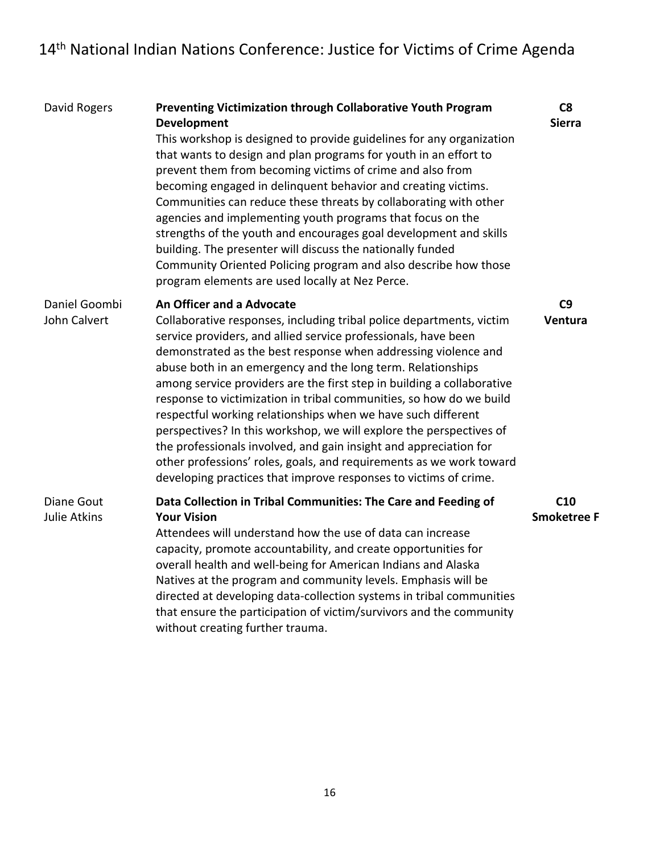| David Rogers                             | Preventing Victimization through Collaborative Youth Program<br>Development<br>This workshop is designed to provide guidelines for any organization<br>that wants to design and plan programs for youth in an effort to<br>prevent them from becoming victims of crime and also from<br>becoming engaged in delinquent behavior and creating victims.<br>Communities can reduce these threats by collaborating with other<br>agencies and implementing youth programs that focus on the<br>strengths of the youth and encourages goal development and skills<br>building. The presenter will discuss the nationally funded<br>Community Oriented Policing program and also describe how those<br>program elements are used locally at Nez Perce.                                                             | C8<br><b>Sierra</b>       |
|------------------------------------------|--------------------------------------------------------------------------------------------------------------------------------------------------------------------------------------------------------------------------------------------------------------------------------------------------------------------------------------------------------------------------------------------------------------------------------------------------------------------------------------------------------------------------------------------------------------------------------------------------------------------------------------------------------------------------------------------------------------------------------------------------------------------------------------------------------------|---------------------------|
| Daniel Goombi<br>John Calvert            | An Officer and a Advocate<br>Collaborative responses, including tribal police departments, victim<br>service providers, and allied service professionals, have been<br>demonstrated as the best response when addressing violence and<br>abuse both in an emergency and the long term. Relationships<br>among service providers are the first step in building a collaborative<br>response to victimization in tribal communities, so how do we build<br>respectful working relationships when we have such different<br>perspectives? In this workshop, we will explore the perspectives of<br>the professionals involved, and gain insight and appreciation for<br>other professions' roles, goals, and requirements as we work toward<br>developing practices that improve responses to victims of crime. | C9<br>Ventura             |
| <b>Diane Gout</b><br><b>Julie Atkins</b> | Data Collection in Tribal Communities: The Care and Feeding of<br><b>Your Vision</b><br>Attendees will understand how the use of data can increase<br>capacity, promote accountability, and create opportunities for<br>overall health and well-being for American Indians and Alaska<br>Natives at the program and community levels. Emphasis will be<br>directed at developing data-collection systems in tribal communities<br>that ensure the participation of victim/survivors and the community<br>without creating further trauma.                                                                                                                                                                                                                                                                    | C10<br><b>Smoketree F</b> |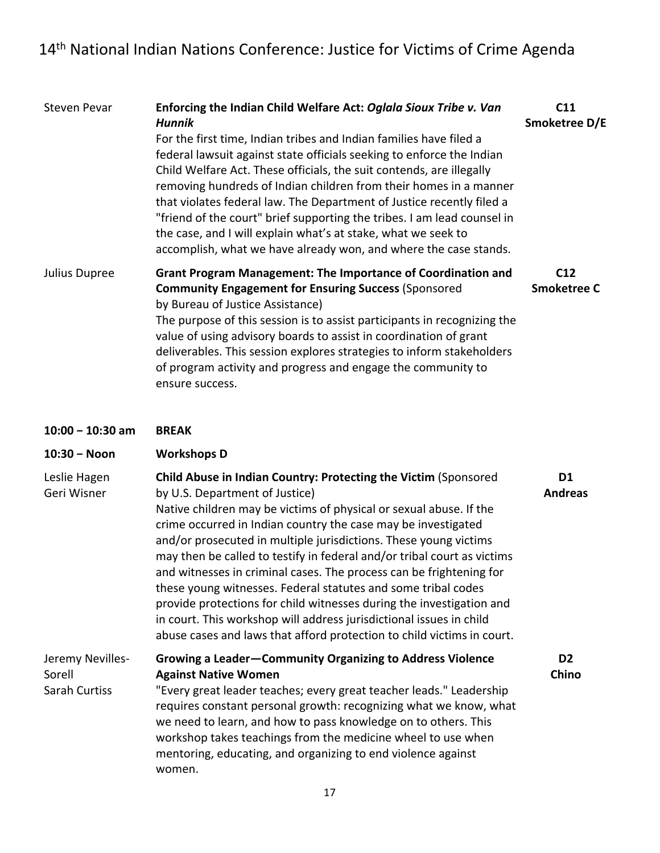| <b>Steven Pevar</b>                         | Enforcing the Indian Child Welfare Act: Oglala Sioux Tribe v. Van<br><b>Hunnik</b><br>For the first time, Indian tribes and Indian families have filed a<br>federal lawsuit against state officials seeking to enforce the Indian<br>Child Welfare Act. These officials, the suit contends, are illegally<br>removing hundreds of Indian children from their homes in a manner<br>that violates federal law. The Department of Justice recently filed a<br>"friend of the court" brief supporting the tribes. I am lead counsel in<br>the case, and I will explain what's at stake, what we seek to<br>accomplish, what we have already won, and where the case stands.                                                                                  | C11<br>Smoketree D/E             |
|---------------------------------------------|----------------------------------------------------------------------------------------------------------------------------------------------------------------------------------------------------------------------------------------------------------------------------------------------------------------------------------------------------------------------------------------------------------------------------------------------------------------------------------------------------------------------------------------------------------------------------------------------------------------------------------------------------------------------------------------------------------------------------------------------------------|----------------------------------|
| Julius Dupree                               | <b>Grant Program Management: The Importance of Coordination and</b><br><b>Community Engagement for Ensuring Success (Sponsored</b><br>by Bureau of Justice Assistance)<br>The purpose of this session is to assist participants in recognizing the<br>value of using advisory boards to assist in coordination of grant<br>deliverables. This session explores strategies to inform stakeholders<br>of program activity and progress and engage the community to<br>ensure success.                                                                                                                                                                                                                                                                      | C12<br><b>Smoketree C</b>        |
| $10:00 - 10:30$ am                          | <b>BREAK</b>                                                                                                                                                                                                                                                                                                                                                                                                                                                                                                                                                                                                                                                                                                                                             |                                  |
| 10:30 - Noon                                | <b>Workshops D</b>                                                                                                                                                                                                                                                                                                                                                                                                                                                                                                                                                                                                                                                                                                                                       |                                  |
| Leslie Hagen<br>Geri Wisner                 | Child Abuse in Indian Country: Protecting the Victim (Sponsored<br>by U.S. Department of Justice)<br>Native children may be victims of physical or sexual abuse. If the<br>crime occurred in Indian country the case may be investigated<br>and/or prosecuted in multiple jurisdictions. These young victims<br>may then be called to testify in federal and/or tribal court as victims<br>and witnesses in criminal cases. The process can be frightening for<br>these young witnesses. Federal statutes and some tribal codes<br>provide protections for child witnesses during the investigation and<br>in court. This workshop will address jurisdictional issues in child<br>abuse cases and laws that afford protection to child victims in court. | D <sub>1</sub><br><b>Andreas</b> |
| Jeremy Nevilles-<br>Sorell<br>Sarah Curtiss | Growing a Leader-Community Organizing to Address Violence<br><b>Against Native Women</b><br>"Every great leader teaches; every great teacher leads." Leadership<br>requires constant personal growth: recognizing what we know, what<br>we need to learn, and how to pass knowledge on to others. This<br>workshop takes teachings from the medicine wheel to use when<br>mentoring, educating, and organizing to end violence against<br>women.                                                                                                                                                                                                                                                                                                         | D <sub>2</sub><br>Chino          |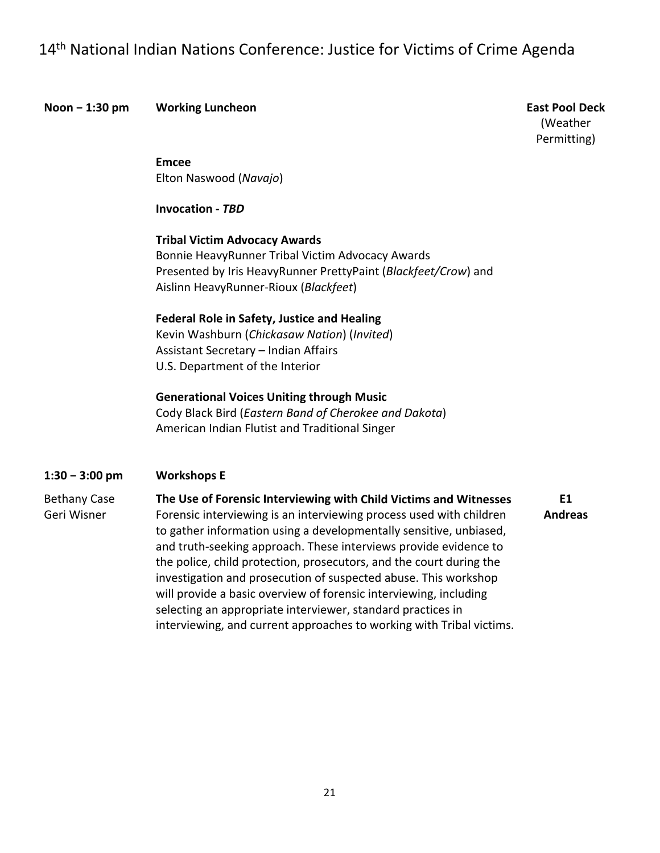**Noon** – 1:30 pm **Working Luncheon** 

**East Pool Deck** (Weather Permitting)

**E1**

 Elton Naswood (*Navajo*) **Emcee**

**Invocation ‐** *TBD*

 **Tribal Victim Advocacy Awards** Bonnie HeavyRunner Tribal Victim Advocacy Awards

 Presented by Iris HeavyRunner PrettyPaint (*Blackfeet/Crow*) and Aislinn HeavyRunner‐Rioux (*Blackfeet*)

#### **Federal Role in Safety, Justice and Healing**

 Kevin Washburn (*Chickasaw Nation*) (*Invited*) Assistant Secretary – Indian Affairs U.S. Department of the Interior

 **Generational Voices Uniting through Music**

  Cody Black Bird (*Eastern Band of Cherokee and Dakota*) American Indian Flutist and Traditional Singer

#### **1:30 − 3:00 pm Workshops E**

#### Bethany Case  **The Use of Forensic Interviewing with Child Victims and Witnesses**

 Geri Wisner Forensic interviewing is an interviewing process used with children to gather information using a developmentally sensitive, unbiased, and truth‐seeking approach. These interviews provide evidence to the police, child protection, prosecutors, and the court during the investigation and prosecution of suspected abuse. This workshop will provide a basic overview of forensic interviewing, including selecting an appropriate interviewer, standard practices in interviewing, and current approaches to working with Tribal victims. **Andreas**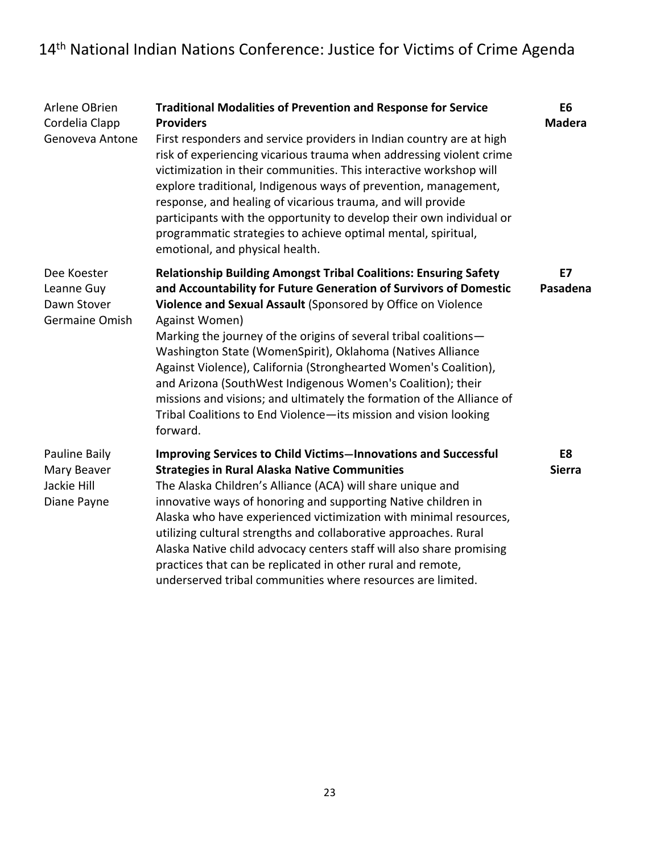| Arlene OBrien<br>Cordelia Clapp<br>Genoveva Antone         | <b>Traditional Modalities of Prevention and Response for Service</b><br><b>Providers</b><br>First responders and service providers in Indian country are at high<br>risk of experiencing vicarious trauma when addressing violent crime<br>victimization in their communities. This interactive workshop will<br>explore traditional, Indigenous ways of prevention, management,<br>response, and healing of vicarious trauma, and will provide<br>participants with the opportunity to develop their own individual or<br>programmatic strategies to achieve optimal mental, spiritual,<br>emotional, and physical health.                                  | E <sub>6</sub><br><b>Madera</b> |
|------------------------------------------------------------|--------------------------------------------------------------------------------------------------------------------------------------------------------------------------------------------------------------------------------------------------------------------------------------------------------------------------------------------------------------------------------------------------------------------------------------------------------------------------------------------------------------------------------------------------------------------------------------------------------------------------------------------------------------|---------------------------------|
| Dee Koester<br>Leanne Guy<br>Dawn Stover<br>Germaine Omish | <b>Relationship Building Amongst Tribal Coalitions: Ensuring Safety</b><br>and Accountability for Future Generation of Survivors of Domestic<br>Violence and Sexual Assault (Sponsored by Office on Violence<br>Against Women)<br>Marking the journey of the origins of several tribal coalitions-<br>Washington State (WomenSpirit), Oklahoma (Natives Alliance<br>Against Violence), California (Stronghearted Women's Coalition),<br>and Arizona (SouthWest Indigenous Women's Coalition); their<br>missions and visions; and ultimately the formation of the Alliance of<br>Tribal Coalitions to End Violence-its mission and vision looking<br>forward. | <b>E7</b><br>Pasadena           |
| Pauline Baily<br>Mary Beaver<br>Jackie Hill<br>Diane Payne | <b>Improving Services to Child Victims-Innovations and Successful</b><br><b>Strategies in Rural Alaska Native Communities</b><br>The Alaska Children's Alliance (ACA) will share unique and<br>innovative ways of honoring and supporting Native children in<br>Alaska who have experienced victimization with minimal resources,<br>utilizing cultural strengths and collaborative approaches. Rural<br>Alaska Native child advocacy centers staff will also share promising<br>practices that can be replicated in other rural and remote,<br>underserved tribal communities where resources are limited.                                                  | E8<br><b>Sierra</b>             |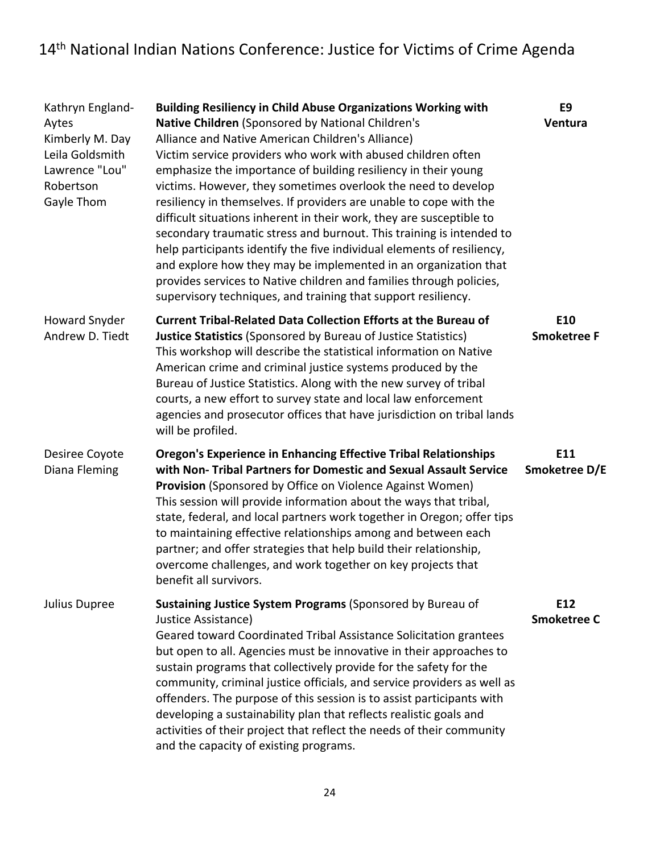| Kathryn England-<br>Aytes<br>Kimberly M. Day<br>Leila Goldsmith<br>Lawrence "Lou"<br>Robertson<br>Gayle Thom | <b>Building Resiliency in Child Abuse Organizations Working with</b><br>Native Children (Sponsored by National Children's<br>Alliance and Native American Children's Alliance)<br>Victim service providers who work with abused children often<br>emphasize the importance of building resiliency in their young<br>victims. However, they sometimes overlook the need to develop<br>resiliency in themselves. If providers are unable to cope with the<br>difficult situations inherent in their work, they are susceptible to<br>secondary traumatic stress and burnout. This training is intended to<br>help participants identify the five individual elements of resiliency,<br>and explore how they may be implemented in an organization that<br>provides services to Native children and families through policies,<br>supervisory techniques, and training that support resiliency. | E9<br>Ventura                         |
|--------------------------------------------------------------------------------------------------------------|----------------------------------------------------------------------------------------------------------------------------------------------------------------------------------------------------------------------------------------------------------------------------------------------------------------------------------------------------------------------------------------------------------------------------------------------------------------------------------------------------------------------------------------------------------------------------------------------------------------------------------------------------------------------------------------------------------------------------------------------------------------------------------------------------------------------------------------------------------------------------------------------|---------------------------------------|
| <b>Howard Snyder</b><br>Andrew D. Tiedt                                                                      | <b>Current Tribal-Related Data Collection Efforts at the Bureau of</b><br><b>Justice Statistics (Sponsored by Bureau of Justice Statistics)</b><br>This workshop will describe the statistical information on Native<br>American crime and criminal justice systems produced by the<br>Bureau of Justice Statistics. Along with the new survey of tribal<br>courts, a new effort to survey state and local law enforcement<br>agencies and prosecutor offices that have jurisdiction on tribal lands<br>will be profiled.                                                                                                                                                                                                                                                                                                                                                                    | E10<br><b>Smoketree F</b>             |
| Desiree Coyote<br>Diana Fleming                                                                              | <b>Oregon's Experience in Enhancing Effective Tribal Relationships</b><br>with Non- Tribal Partners for Domestic and Sexual Assault Service<br>Provision (Sponsored by Office on Violence Against Women)<br>This session will provide information about the ways that tribal,<br>state, federal, and local partners work together in Oregon; offer tips<br>to maintaining effective relationships among and between each<br>partner; and offer strategies that help build their relationship,<br>overcome challenges, and work together on key projects that<br>benefit all survivors.                                                                                                                                                                                                                                                                                                       | E11<br>Smoketree D/E                  |
| Julius Dupree                                                                                                | Sustaining Justice System Programs (Sponsored by Bureau of<br>Justice Assistance)<br>Geared toward Coordinated Tribal Assistance Solicitation grantees<br>but open to all. Agencies must be innovative in their approaches to<br>sustain programs that collectively provide for the safety for the<br>community, criminal justice officials, and service providers as well as<br>offenders. The purpose of this session is to assist participants with<br>developing a sustainability plan that reflects realistic goals and<br>activities of their project that reflect the needs of their community<br>and the capacity of existing programs.                                                                                                                                                                                                                                              | E <sub>12</sub><br><b>Smoketree C</b> |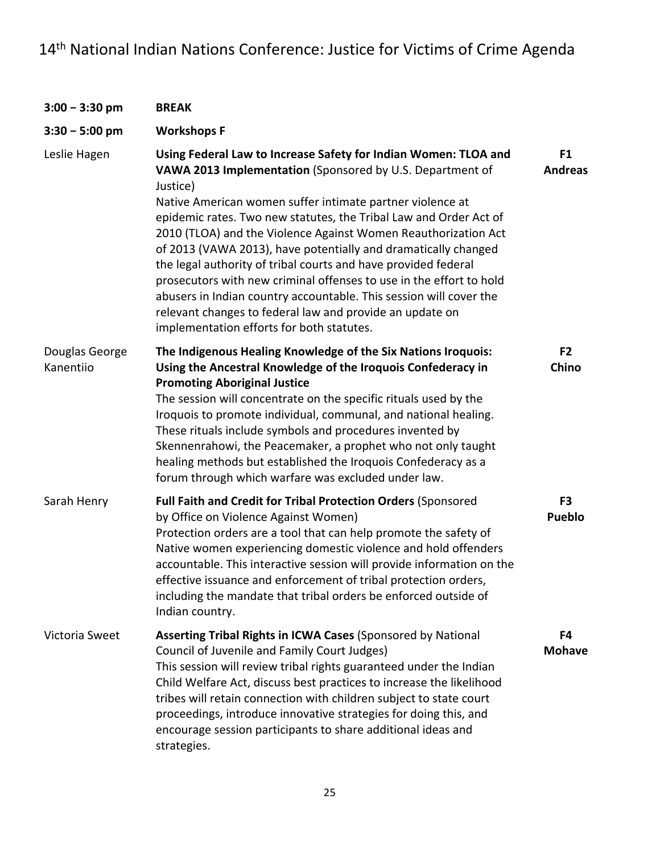| $3:00 - 3:30$ pm            | <b>BREAK</b>                                                                                                                                                                                                                                                                                                                                                                                                                                                                                                                                                                                                                                                                                                                           |                                  |
|-----------------------------|----------------------------------------------------------------------------------------------------------------------------------------------------------------------------------------------------------------------------------------------------------------------------------------------------------------------------------------------------------------------------------------------------------------------------------------------------------------------------------------------------------------------------------------------------------------------------------------------------------------------------------------------------------------------------------------------------------------------------------------|----------------------------------|
| $3:30 - 5:00$ pm            | <b>Workshops F</b>                                                                                                                                                                                                                                                                                                                                                                                                                                                                                                                                                                                                                                                                                                                     |                                  |
| Leslie Hagen                | Using Federal Law to Increase Safety for Indian Women: TLOA and<br>VAWA 2013 Implementation (Sponsored by U.S. Department of<br>Justice)<br>Native American women suffer intimate partner violence at<br>epidemic rates. Two new statutes, the Tribal Law and Order Act of<br>2010 (TLOA) and the Violence Against Women Reauthorization Act<br>of 2013 (VAWA 2013), have potentially and dramatically changed<br>the legal authority of tribal courts and have provided federal<br>prosecutors with new criminal offenses to use in the effort to hold<br>abusers in Indian country accountable. This session will cover the<br>relevant changes to federal law and provide an update on<br>implementation efforts for both statutes. | F <sub>1</sub><br><b>Andreas</b> |
| Douglas George<br>Kanentiio | The Indigenous Healing Knowledge of the Six Nations Iroquois:<br>Using the Ancestral Knowledge of the Iroquois Confederacy in<br><b>Promoting Aboriginal Justice</b><br>The session will concentrate on the specific rituals used by the<br>Iroquois to promote individual, communal, and national healing.<br>These rituals include symbols and procedures invented by<br>Skennenrahowi, the Peacemaker, a prophet who not only taught<br>healing methods but established the Iroquois Confederacy as a<br>forum through which warfare was excluded under law.                                                                                                                                                                        | F <sub>2</sub><br>Chino          |
| Sarah Henry                 | Full Faith and Credit for Tribal Protection Orders (Sponsored<br>by Office on Violence Against Women)<br>Protection orders are a tool that can help promote the safety of<br>Native women experiencing domestic violence and hold offenders<br>accountable. This interactive session will provide information on the<br>effective issuance and enforcement of tribal protection orders.<br>including the mandate that tribal orders be enforced outside of<br>Indian country.                                                                                                                                                                                                                                                          | F <sub>3</sub><br><b>Pueblo</b>  |
| Victoria Sweet              | Asserting Tribal Rights in ICWA Cases (Sponsored by National<br>Council of Juvenile and Family Court Judges)<br>This session will review tribal rights guaranteed under the Indian<br>Child Welfare Act, discuss best practices to increase the likelihood<br>tribes will retain connection with children subject to state court<br>proceedings, introduce innovative strategies for doing this, and<br>encourage session participants to share additional ideas and<br>strategies.                                                                                                                                                                                                                                                    | F4<br><b>Mohave</b>              |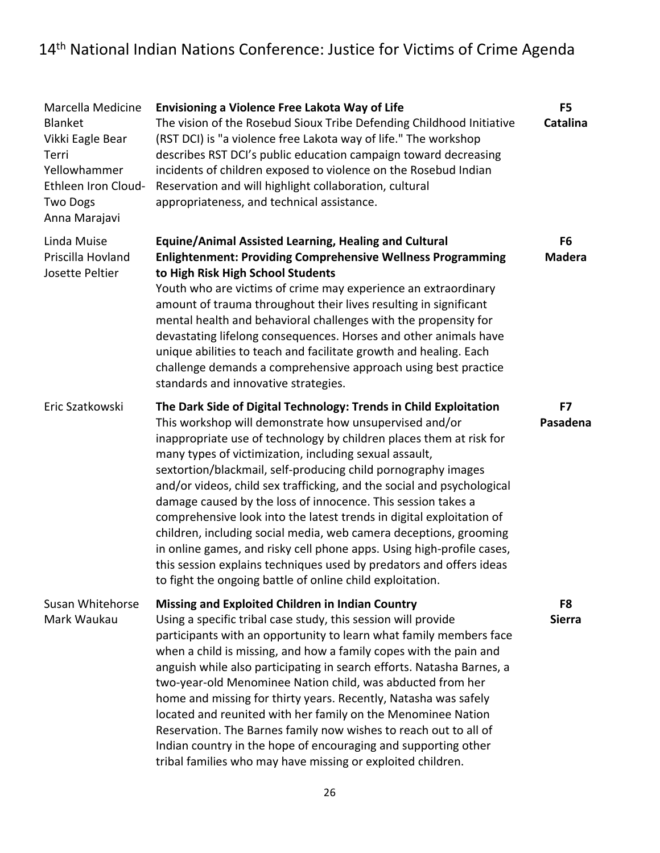| Marcella Medicine<br><b>Blanket</b><br>Vikki Eagle Bear<br>Terri<br>Yellowhammer<br>Ethleen Iron Cloud-<br><b>Two Dogs</b><br>Anna Marajavi | <b>Envisioning a Violence Free Lakota Way of Life</b><br>The vision of the Rosebud Sioux Tribe Defending Childhood Initiative<br>(RST DCI) is "a violence free Lakota way of life." The workshop<br>describes RST DCI's public education campaign toward decreasing<br>incidents of children exposed to violence on the Rosebud Indian<br>Reservation and will highlight collaboration, cultural<br>appropriateness, and technical assistance.                                                                                                                                                                                                                                                                                                                                                                                    | F5<br><b>Catalina</b>           |
|---------------------------------------------------------------------------------------------------------------------------------------------|-----------------------------------------------------------------------------------------------------------------------------------------------------------------------------------------------------------------------------------------------------------------------------------------------------------------------------------------------------------------------------------------------------------------------------------------------------------------------------------------------------------------------------------------------------------------------------------------------------------------------------------------------------------------------------------------------------------------------------------------------------------------------------------------------------------------------------------|---------------------------------|
| Linda Muise<br>Priscilla Hovland<br>Josette Peltier                                                                                         | <b>Equine/Animal Assisted Learning, Healing and Cultural</b><br><b>Enlightenment: Providing Comprehensive Wellness Programming</b><br>to High Risk High School Students<br>Youth who are victims of crime may experience an extraordinary<br>amount of trauma throughout their lives resulting in significant<br>mental health and behavioral challenges with the propensity for<br>devastating lifelong consequences. Horses and other animals have<br>unique abilities to teach and facilitate growth and healing. Each<br>challenge demands a comprehensive approach using best practice<br>standards and innovative strategies.                                                                                                                                                                                               | F <sub>6</sub><br><b>Madera</b> |
| Eric Szatkowski                                                                                                                             | The Dark Side of Digital Technology: Trends in Child Exploitation<br>This workshop will demonstrate how unsupervised and/or<br>inappropriate use of technology by children places them at risk for<br>many types of victimization, including sexual assault,<br>sextortion/blackmail, self-producing child pornography images<br>and/or videos, child sex trafficking, and the social and psychological<br>damage caused by the loss of innocence. This session takes a<br>comprehensive look into the latest trends in digital exploitation of<br>children, including social media, web camera deceptions, grooming<br>in online games, and risky cell phone apps. Using high-profile cases,<br>this session explains techniques used by predators and offers ideas<br>to fight the ongoing battle of online child exploitation. | F7<br>Pasadena                  |
| Susan Whitehorse<br>Mark Waukau                                                                                                             | Missing and Exploited Children in Indian Country<br>Using a specific tribal case study, this session will provide<br>participants with an opportunity to learn what family members face<br>when a child is missing, and how a family copes with the pain and<br>anguish while also participating in search efforts. Natasha Barnes, a<br>two-year-old Menominee Nation child, was abducted from her<br>home and missing for thirty years. Recently, Natasha was safely<br>located and reunited with her family on the Menominee Nation<br>Reservation. The Barnes family now wishes to reach out to all of<br>Indian country in the hope of encouraging and supporting other<br>tribal families who may have missing or exploited children.                                                                                       | F8<br><b>Sierra</b>             |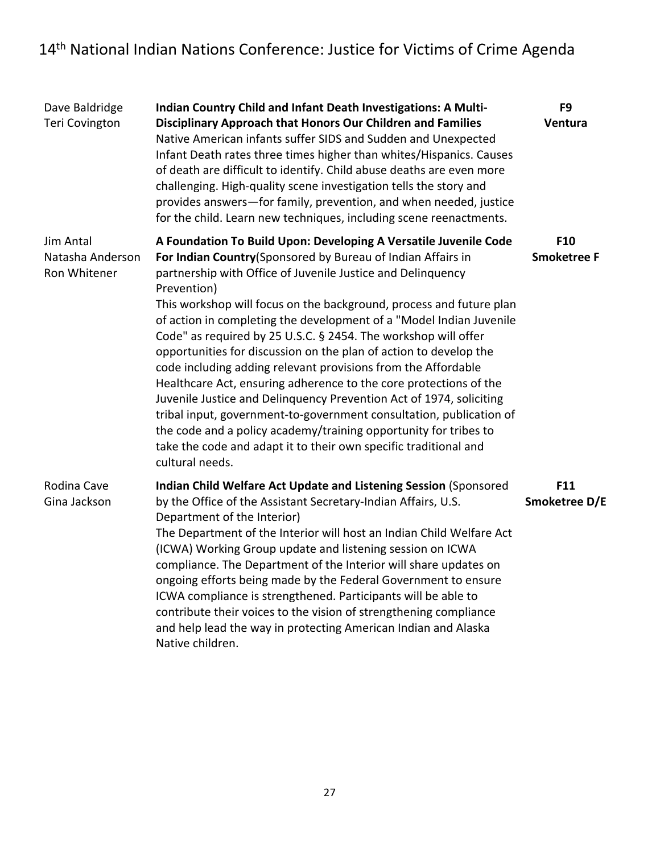| Dave Baldridge<br><b>Teri Covington</b>       | Indian Country Child and Infant Death Investigations: A Multi-<br>Disciplinary Approach that Honors Our Children and Families<br>Native American infants suffer SIDS and Sudden and Unexpected<br>Infant Death rates three times higher than whites/Hispanics. Causes<br>of death are difficult to identify. Child abuse deaths are even more<br>challenging. High-quality scene investigation tells the story and<br>provides answers-for family, prevention, and when needed, justice<br>for the child. Learn new techniques, including scene reenactments.                                                                                                                                                                                                                                                                                                                                                                                     | F <sub>9</sub><br>Ventura |
|-----------------------------------------------|---------------------------------------------------------------------------------------------------------------------------------------------------------------------------------------------------------------------------------------------------------------------------------------------------------------------------------------------------------------------------------------------------------------------------------------------------------------------------------------------------------------------------------------------------------------------------------------------------------------------------------------------------------------------------------------------------------------------------------------------------------------------------------------------------------------------------------------------------------------------------------------------------------------------------------------------------|---------------------------|
| Jim Antal<br>Natasha Anderson<br>Ron Whitener | A Foundation To Build Upon: Developing A Versatile Juvenile Code<br>For Indian Country(Sponsored by Bureau of Indian Affairs in<br>partnership with Office of Juvenile Justice and Delinquency<br>Prevention)<br>This workshop will focus on the background, process and future plan<br>of action in completing the development of a "Model Indian Juvenile<br>Code" as required by 25 U.S.C. § 2454. The workshop will offer<br>opportunities for discussion on the plan of action to develop the<br>code including adding relevant provisions from the Affordable<br>Healthcare Act, ensuring adherence to the core protections of the<br>Juvenile Justice and Delinquency Prevention Act of 1974, soliciting<br>tribal input, government-to-government consultation, publication of<br>the code and a policy academy/training opportunity for tribes to<br>take the code and adapt it to their own specific traditional and<br>cultural needs. | F10<br><b>Smoketree F</b> |
| Rodina Cave<br>Gina Jackson                   | Indian Child Welfare Act Update and Listening Session (Sponsored<br>by the Office of the Assistant Secretary-Indian Affairs, U.S.<br>Department of the Interior)<br>The Department of the Interior will host an Indian Child Welfare Act<br>(ICWA) Working Group update and listening session on ICWA<br>compliance. The Department of the Interior will share updates on<br>ongoing efforts being made by the Federal Government to ensure<br>ICWA compliance is strengthened. Participants will be able to<br>contribute their voices to the vision of strengthening compliance<br>and help lead the way in protecting American Indian and Alaska<br>Native children.                                                                                                                                                                                                                                                                           | F11<br>Smoketree D/E      |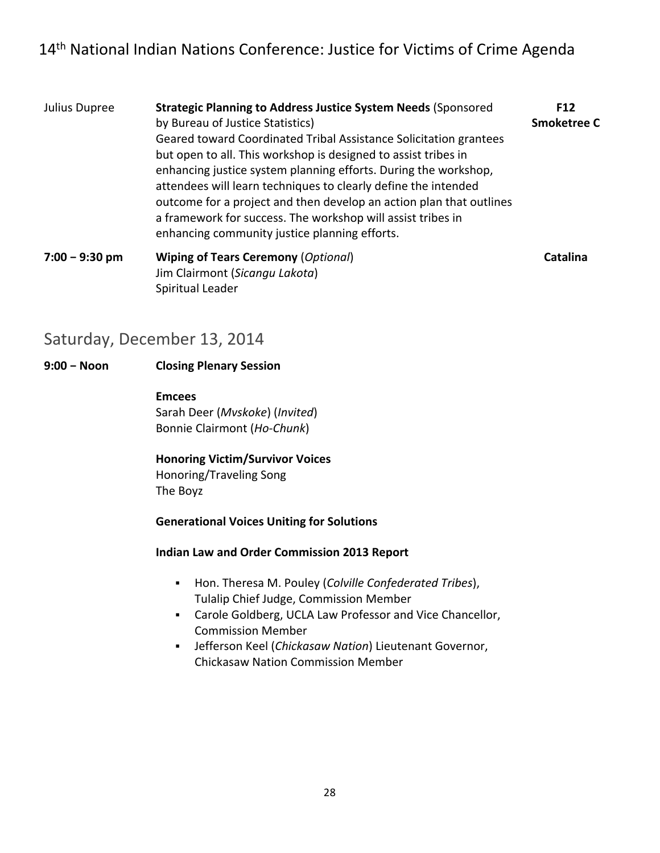- Julius Dupree **Strategic Planning to Address Justice System Needs** (Sponsored **F12** by Bureau of Justice Statistics) **Smoketree C** Geared toward Coordinated Tribal Assistance Solicitation grantees but open to all. This workshop is designed to assist tribes in enhancing justice system planning efforts. During the workshop, attendees will learn techniques to clearly define the intended outcome for a project and then develop an action plan that outlines a framework for success. The workshop will assist tribes in enhancing community justice planning efforts.  **7:00 − 9:30 pm Wiping of Tears Ceremony** (*Optional*) **Catalina**
	- Jim Clairmont (*Sicangu Lakota*) Spiritual Leader

### Saturday, December 13, 2014

#### **9:00 − Noon Closing Plenary Session**

#### **Emcees**

 Sarah Deer (*Mvskoke*) (*Invited*) Bonnie Clairmont (*Ho‐Chunk*)

 **Honoring Victim/Survivor Voices** Honoring/Traveling Song

The Boyz

#### **Generational Voices Uniting for Solutions**

#### **Indian Law and Order Commission 2013 Report**

- Hon. Theresa M. Pouley (*Colville Confederated Tribes*), Tulalip Chief Judge, Commission Member
- Carole Goldberg, UCLA Law Professor and Vice Chancellor, Commission Member
- Jefferson Keel (*Chickasaw Nation*) Lieutenant Governor, Chickasaw Nation Commission Member